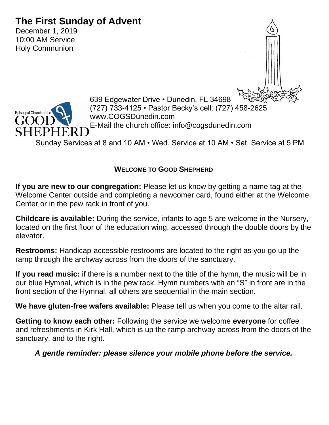# **The First Sunday of Advent**

December 1, 2019 10:00 AM Service Holy Communion





639 Edgewater Drive • Dunedin, FL 34698 (727) 733-4125 • Pastor Becky's cell: (727) 458-2625 www.COGSDunedin.com E-Mail the church office: info@cogsdunedin.com

Sunday Services at 8 and 10 AM • Wed. Service at 10 AM • Sat. Service at 5 PM

#### **WELCOME TO GOOD SHEPHERD**

**If you are new to our congregation:** Please let us know by getting a name tag at the Welcome Center outside and completing a newcomer card, found either at the Welcome Center or in the pew rack in front of you.

**Childcare is available:** During the service, infants to age 5 are welcome in the Nursery, located on the first floor of the education wing, accessed through the double doors by the elevator.

**Restrooms:** Handicap-accessible restrooms are located to the right as you go up the ramp through the archway across from the doors of the sanctuary.

**If you read music:** if there is a number next to the title of the hymn, the music will be in our blue Hymnal, which is in the pew rack. Hymn numbers with an "S" in front are in the front section of the Hymnal, all others are sequential in the main section.

**We have gluten-free wafers available:** Please tell us when you come to the altar rail.

**Getting to know each other:** Following the service we welcome **everyone** for coffee and refreshments in Kirk Hall, which is up the ramp archway across from the doors of the sanctuary, and to the right.

## *A gentle reminder: please silence your mobile phone before the service.*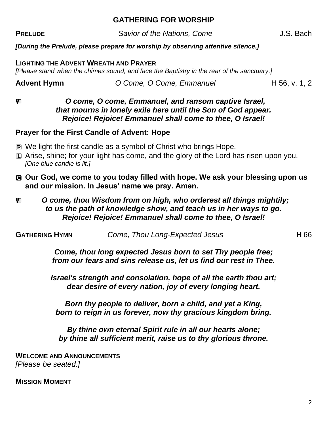#### **GATHERING FOR WORSHIP**

**PRELUDE** Savior of the Nations, Come J.S. Bach

#### *[During the Prelude, please prepare for worship by observing attentive silence.]*

**LIGHTING THE ADVENT WREATH AND PRAYER**  *[Please stand when the chimes sound, and face the Baptistry in the rear of the sanctuary.]*

**Advent Hymn** *O Come, O Come, Emmanuel* H 56, v. 1, 2

#### $\mathbf{D}$ *C* come, O come, Emmanuel, and ransom captive Israel, *that mourns in lonely exile here until the Son of God appear. Rejoice! Rejoice! Emmanuel shall come to thee, O Israel!*

#### **Prayer for the First Candle of Advent: Hope**

- P We light the first candle as a symbol of Christ who brings Hope.
- L Arise, shine; for your light has come, and the glory of the Lord has risen upon you. *[One blue candle is lit.]*
- C **Our God, we come to you today filled with hope. We ask your blessing upon us and our mission. In Jesus' name we pray. Amen.**
- **<u><b>** $\mathbf{m}$ *O* come, thou Wisdom from on high, who orderest all things mightily;</u> *to us the path of knowledge show, and teach us in her ways to go. Rejoice! Rejoice! Emmanuel shall come to thee, O Israel!*

**GATHERING HYMN** *Come, Thou Long-Expected Jesus* **H** 66

*Come, thou long expected Jesus born to set Thy people free; from our fears and sins release us, let us find our rest in Thee.*

*Israel's strength and consolation, hope of all the earth thou art; dear desire of every nation, joy of every longing heart.*

*Born thy people to deliver, born a child, and yet a King, born to reign in us forever, now thy gracious kingdom bring.*

*By thine own eternal Spirit rule in all our hearts alone; by thine all sufficient merit, raise us to thy glorious throne.*

**WELCOME AND ANNOUNCEMENTS** *[Please be seated.]*

**MISSION MOMENT**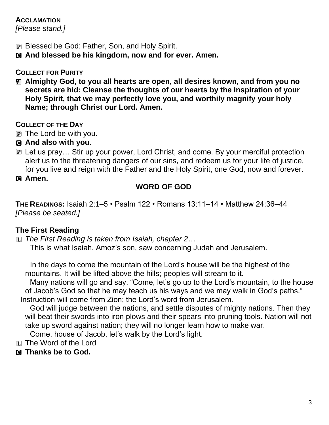## **ACCLAMATION**

*[Please stand.]*

- P Blessed be God: Father, Son, and Holy Spirit.
- C **And blessed be his kingdom, now and for ever. Amen.**

## **COLLECT FOR PURITY**

a **Almighty God, to you all hearts are open, all desires known, and from you no secrets are hid: Cleanse the thoughts of our hearts by the inspiration of your Holy Spirit, that we may perfectly love you, and worthily magnify your holy Name; through Christ our Lord. Amen.**

## **COLLECT OF THE DAY**

- P The Lord be with you.
- C **And also with you.**
- P Let us pray… Stir up your power, Lord Christ, and come. By your merciful protection alert us to the threatening dangers of our sins, and redeem us for your life of justice, for you live and reign with the Father and the Holy Spirit, one God, now and forever.
- C **Amen.**

## **WORD OF GOD**

**THE READINGS:** Isaiah 2:1–5 • Psalm 122 • Romans 13:11–14 • Matthew 24:36–44 *[Please be seated.]*

## **The First Reading**

L *The First Reading is taken from Isaiah, chapter 2…* This is what Isaiah, Amoz's son, saw concerning Judah and Jerusalem.

In the days to come the mountain of the Lord's house will be the highest of the mountains. It will be lifted above the hills; peoples will stream to it.

Many nations will go and say, "Come, let's go up to the Lord's mountain, to the house of Jacob's God so that he may teach us his ways and we may walk in God's paths." Instruction will come from Zion; the Lord's word from Jerusalem.

God will judge between the nations, and settle disputes of mighty nations. Then they will beat their swords into iron plows and their spears into pruning tools. Nation will not take up sword against nation; they will no longer learn how to make war.

Come, house of Jacob, let's walk by the Lord's light.

- L The Word of the Lord
- C **Thanks be to God.**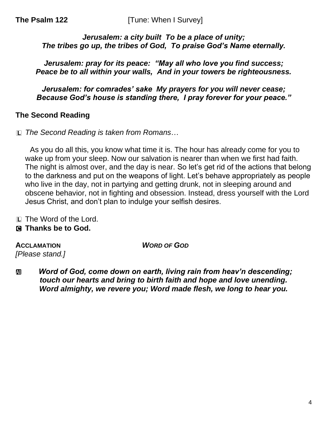#### *Jerusalem: a city built To be a place of unity; The tribes go up, the tribes of God, To praise God's Name eternally.*

*Jerusalem: pray for its peace: "May all who love you find success; Peace be to all within your walls, And in your towers be righteousness.*

*Jerusalem: for comrades' sake My prayers for you will never cease; Because God's house is standing there, I pray forever for your peace."*

#### **The Second Reading**

L *The Second Reading is taken from Romans*…

As you do all this, you know what time it is. The hour has already come for you to wake up from your sleep. Now our salvation is nearer than when we first had faith. The night is almost over, and the day is near. So let's get rid of the actions that belong to the darkness and put on the weapons of light. Let's behave appropriately as people who live in the day, not in partying and getting drunk, not in sleeping around and obscene behavior, not in fighting and obsession. Instead, dress yourself with the Lord Jesus Christ, and don't plan to indulge your selfish desires.

L The Word of the Lord.

## C **Thanks be to God.**

**ACCLAMATION** *WORD OF GOD [Please stand.]*

**<u>***m* Word of God, come down on earth, living rain from heav'n descending;</u> *touch our hearts and bring to birth faith and hope and love unending. Word almighty, we revere you; Word made flesh, we long to hear you.*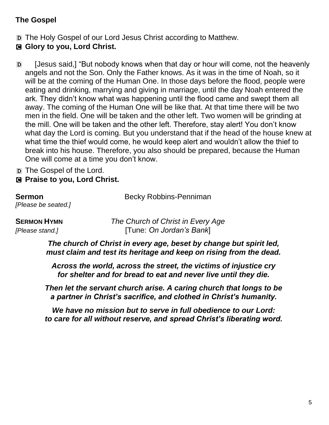## **The Gospel**

D The Holy Gospel of our Lord Jesus Christ according to Matthew.

- C **Glory to you, Lord Christ.**
- D [Jesus said,] "But nobody knows when that day or hour will come, not the heavenly angels and not the Son. Only the Father knows. As it was in the time of Noah, so it will be at the coming of the Human One. In those days before the flood, people were eating and drinking, marrying and giving in marriage, until the day Noah entered the ark. They didn't know what was happening until the flood came and swept them all away. The coming of the Human One will be like that. At that time there will be two men in the field. One will be taken and the other left. Two women will be grinding at the mill. One will be taken and the other left. Therefore, stay alert! You don't know what day the Lord is coming. But you understand that if the head of the house knew at what time the thief would come, he would keep alert and wouldn't allow the thief to break into his house. Therefore, you also should be prepared, because the Human One will come at a time you don't know.
- D The Gospel of the Lord.
- C **Praise to you, Lord Christ.**

| Sermon              |  |
|---------------------|--|
| [Please be seated.] |  |

**Sermon** Becky Robbins-Penniman

**SERMON HYMN** *The Church of Christ in Every Age [Please stand.]* [Tune: *On Jordan's Bank*]

> *The church of Christ in every age, beset by change but spirit led, must claim and test its heritage and keep on rising from the dead.*

*Across the world, across the street, the victims of injustice cry for shelter and for bread to eat and never live until they die.* 

*Then let the servant church arise. A caring church that longs to be a partner in Christ's sacrifice, and clothed in Christ's humanity.*

*We have no mission but to serve in full obedience to our Lord: to care for all without reserve, and spread Christ's liberating word.*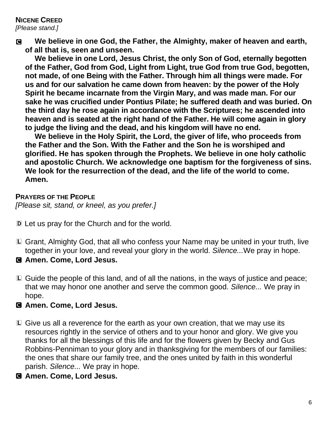#### **NICENE CREED** *[Please stand.]*

C **We believe in one God, the Father, the Almighty, maker of heaven and earth, of all that is, seen and unseen.**

**We believe in one Lord, Jesus Christ, the only Son of God, eternally begotten of the Father, God from God, Light from Light, true God from true God, begotten, not made, of one Being with the Father. Through him all things were made. For us and for our salvation he came down from heaven: by the power of the Holy Spirit he became incarnate from the Virgin Mary, and was made man. For our sake he was crucified under Pontius Pilate; he suffered death and was buried. On the third day he rose again in accordance with the Scriptures; he ascended into heaven and is seated at the right hand of the Father. He will come again in glory to judge the living and the dead, and his kingdom will have no end.**

**We believe in the Holy Spirit, the Lord, the giver of life, who proceeds from the Father and the Son. With the Father and the Son he is worshiped and glorified. He has spoken through the Prophets. We believe in one holy catholic and apostolic Church. We acknowledge one baptism for the forgiveness of sins. We look for the resurrection of the dead, and the life of the world to come. Amen.**

**PRAYERS OF THE PEOPLE** *[Please sit, stand, or kneel, as you prefer.]*

D Let us pray for the Church and for the world.

- L Grant, Almighty God, that all who confess your Name may be united in your truth, live together in your love, and reveal your glory in the world. *Silence...*We pray in hope.
- C **Amen. Come, Lord Jesus.**
- L Guide the people of this land, and of all the nations, in the ways of justice and peace; that we may honor one another and serve the common good. *Silence...* We pray in hope.

#### C **Amen. Come, Lord Jesus.**

- L Give us all a reverence for the earth as your own creation, that we may use its resources rightly in the service of others and to your honor and glory. We give you thanks for all the blessings of this life and for the flowers given by Becky and Gus Robbins-Penniman to your glory and in thanksgiving for the members of our families: the ones that share our family tree, and the ones united by faith in this wonderful parish. *Silence...* We pray in hope.
- C **Amen. Come, Lord Jesus.**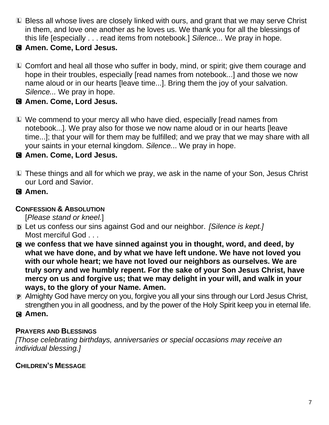- L Bless all whose lives are closely linked with ours, and grant that we may serve Christ in them, and love one another as he loves us. We thank you for all the blessings of this life [especially . . . read items from notebook.] *Silence...* We pray in hope.
- C **Amen. Come, Lord Jesus.**
- L Comfort and heal all those who suffer in body, mind, or spirit; give them courage and hope in their troubles, especially [read names from notebook...] and those we now name aloud or in our hearts [leave time...]. Bring them the joy of your salvation. *Silence...* We pray in hope.

## C **Amen. Come, Lord Jesus.**

L We commend to your mercy all who have died, especially [read names from notebook...]. We pray also for those we now name aloud or in our hearts [leave time...]; that your will for them may be fulfilled; and we pray that we may share with all your saints in your eternal kingdom. *Silence.*.. We pray in hope.

## C **Amen. Come, Lord Jesus.**

- L These things and all for which we pray, we ask in the name of your Son, Jesus Christ our Lord and Savior.
- C **Amen.**

## **CONFESSION & ABSOLUTION**

[*Please stand or kneel.*]

- D Let us confess our sins against God and our neighbor. *[Silence is kept.]* Most merciful God . . .
- C **we confess that we have sinned against you in thought, word, and deed, by what we have done, and by what we have left undone. We have not loved you with our whole heart; we have not loved our neighbors as ourselves. We are truly sorry and we humbly repent. For the sake of your Son Jesus Christ, have mercy on us and forgive us; that we may delight in your will, and walk in your ways, to the glory of your Name. Amen.**
- P Almighty God have mercy on you, forgive you all your sins through our Lord Jesus Christ, strengthen you in all goodness, and by the power of the Holy Spirit keep you in eternal life.
- C **Amen.**

## **PRAYERS AND BLESSINGS**

*[Those celebrating birthdays, anniversaries or special occasions may receive an individual blessing.]*

## **CHILDREN'S MESSAGE**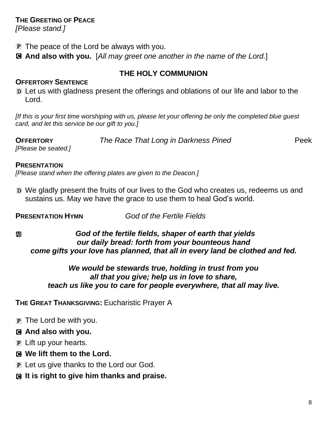#### **THE GREETING OF PEACE**

*[Please stand.]*

- **P** The peace of the Lord be always with you.
- C **And also with you.** [*All may greet one another in the name of the Lord.*]

## **THE HOLY COMMUNION**

#### **OFFERTORY SENTENCE**

D Let us with gladness present the offerings and oblations of our life and labor to the Lord.

*[If this is your first time worshiping with us, please let your offering be only the completed blue guest card, and let this service be our gift to you.]*

**OFFERTORY** *The Race That Long in Darkness Pined* Peek

*[Please be seated.]*

#### **PRESENTATION**

*[Please stand when the offering plates are given to the Deacon.]*

D We gladly present the fruits of our lives to the God who creates us, redeems us and sustains us. May we have the grace to use them to heal God's world.

**PRESENTATION HYMN** *God of the Fertile Fields*

## a *God of the fertile fields, shaper of earth that yields our daily bread: forth from your bounteous hand come gifts your love has planned, that all in every land be clothed and fed.*

#### *We would be stewards true, holding in trust from you all that you give; help us in love to share, teach us like you to care for people everywhere, that all may live.*

**THE GREAT THANKSGIVING:** Eucharistic Prayer A

P The Lord be with you.

## C **And also with you.**

- P Lift up your hearts.
- C **We lift them to the Lord.**
- P Let us give thanks to the Lord our God.
- C **It is right to give him thanks and praise.**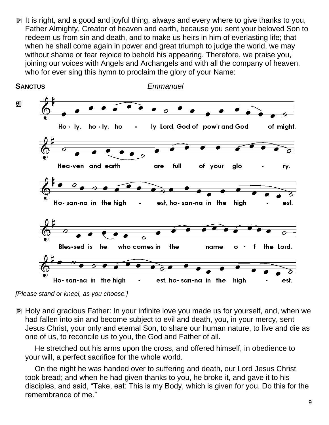P It is right, and a good and joyful thing, always and every where to give thanks to you, Father Almighty, Creator of heaven and earth, because you sent your beloved Son to redeem us from sin and death, and to make us heirs in him of everlasting life; that when he shall come again in power and great triumph to judge the world, we may without shame or fear rejoice to behold his appearing. Therefore, we praise you, joining our voices with Angels and Archangels and with all the company of heaven, who for ever sing this hymn to proclaim the glory of your Name:



*<sup>[</sup>Please stand or kneel, as you choose.]*

P Holy and gracious Father: In your infinite love you made us for yourself, and, when we had fallen into sin and become subject to evil and death, you, in your mercy, sent Jesus Christ, your only and eternal Son, to share our human nature, to live and die as one of us, to reconcile us to you, the God and Father of all.

He stretched out his arms upon the cross, and offered himself, in obedience to your will, a perfect sacrifice for the whole world.

On the night he was handed over to suffering and death, our Lord Jesus Christ took bread; and when he had given thanks to you, he broke it, and gave it to his disciples, and said, "Take, eat: This is my Body, which is given for you. Do this for the remembrance of me."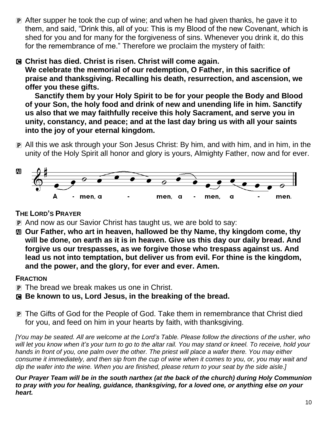P After supper he took the cup of wine; and when he had given thanks, he gave it to them, and said, "Drink this, all of you: This is my Blood of the new Covenant, which is shed for you and for many for the forgiveness of sins. Whenever you drink it, do this for the remembrance of me." Therefore we proclaim the mystery of faith:

## C **Christ has died. Christ is risen. Christ will come again.**

**We celebrate the memorial of our redemption, O Father, in this sacrifice of praise and thanksgiving. Recalling his death, resurrection, and ascension, we offer you these gifts.**

**Sanctify them by your Holy Spirit to be for your people the Body and Blood of your Son, the holy food and drink of new and unending life in him. Sanctify us also that we may faithfully receive this holy Sacrament, and serve you in unity, constancy, and peace; and at the last day bring us with all your saints into the joy of your eternal kingdom.**

P All this we ask through your Son Jesus Christ: By him, and with him, and in him, in the unity of the Holy Spirit all honor and glory is yours, Almighty Father, now and for ever.



## **THE LORD'S PRAYER**

- P And now as our Savior Christ has taught us, we are bold to say:
- a **Our Father, who art in heaven, hallowed be thy Name, thy kingdom come, thy will be done, on earth as it is in heaven. Give us this day our daily bread. And forgive us our trespasses, as we forgive those who trespass against us. And lead us not into temptation, but deliver us from evil. For thine is the kingdom, and the power, and the glory, for ever and ever. Amen.**

## **FRACTION**

- P The bread we break makes us one in Christ.
- C **Be known to us, Lord Jesus, in the breaking of the bread.**
- P The Gifts of God for the People of God. Take them in remembrance that Christ died for you, and feed on him in your hearts by faith, with thanksgiving.

[You may be seated. All are welcome at the Lord's Table. Please follow the directions of the usher, who will let you know when it's your turn to go to the altar rail. You may stand or kneel. To receive, hold your hands in front of you, one palm over the other. The priest will place a wafer there. You may either consume it immediately, and then sip from the cup of wine when it comes to you, or, you may wait and dip the wafer into the wine. When you are finished, please return to your seat by the side aisle.]

*Our Prayer Team will be in the south narthex (at the back of the church) during Holy Communion to pray with you for healing, guidance, thanksgiving, for a loved one, or anything else on your heart.*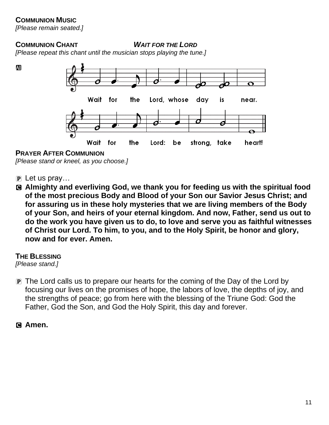#### **COMMUNION MUSIC**

*[Please remain seated.]*

#### **COMMUNION CHANT** *WAIT FOR THE LORD*

*[Please repeat this chant until the musician stops playing the tune.]*



**PRAYER AFTER COMMUNION**

*[Please stand or kneel, as you choose.]*

- $\mathbf{P}$  Let us pray...
- C **Almighty and everliving God, we thank you for feeding us with the spiritual food of the most precious Body and Blood of your Son our Savior Jesus Christ; and for assuring us in these holy mysteries that we are living members of the Body of your Son, and heirs of your eternal kingdom. And now, Father, send us out to do the work you have given us to do, to love and serve you as faithful witnesses of Christ our Lord. To him, to you, and to the Holy Spirit, be honor and glory, now and for ever. Amen.**

**THE BLESSING**

*[Please stand.]*

P The Lord calls us to prepare our hearts for the coming of the Day of the Lord by focusing our lives on the promises of hope, the labors of love, the depths of joy, and the strengths of peace; go from here with the blessing of the Triune God: God the Father, God the Son, and God the Holy Spirit, this day and forever.

C **Amen.**